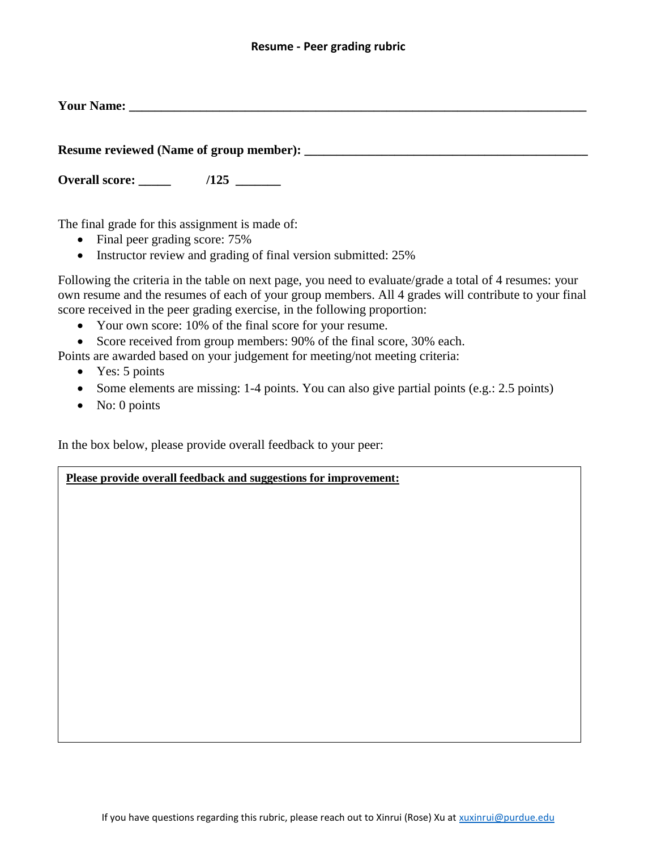## **Resume - Peer grading rubric**

**Your Name:**  $\blacksquare$ 

**Resume reviewed (Name of group member): \_\_\_\_\_\_\_\_\_\_\_\_\_\_\_\_\_\_\_\_\_\_\_\_\_\_\_\_\_\_\_\_\_\_\_\_\_\_\_\_\_\_\_\_**

**Overall score:**  $/125$ 

The final grade for this assignment is made of:

- Final peer grading score: 75%
- Instructor review and grading of final version submitted: 25%

Following the criteria in the table on next page, you need to evaluate/grade a total of 4 resumes: your own resume and the resumes of each of your group members. All 4 grades will contribute to your final score received in the peer grading exercise, in the following proportion:

- Your own score: 10% of the final score for your resume.
- Score received from group members: 90% of the final score, 30% each.

Points are awarded based on your judgement for meeting/not meeting criteria:

- Yes: 5 points
- Some elements are missing: 1-4 points. You can also give partial points (e.g.: 2.5 points)
- No: 0 points

In the box below, please provide overall feedback to your peer:

## **Please provide overall feedback and suggestions for improvement:**